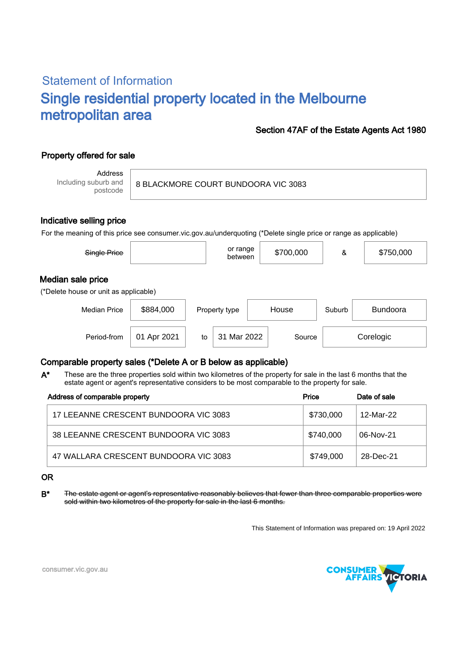# Statement of Information Single residential property located in the Melbourne metropolitan area

### Section 47AF of the Estate Agents Act 1980

# Property offered for sale

Address Including suburb and postcode

8 BLACKMORE COURT BUNDOORA VIC 3083

### Indicative selling price

For the meaning of this price see consumer.vic.gov.au/underquoting (\*Delete single price or range as applicable)

| Single Price                                               |             |    | or range<br>between |       | \$700,000 | &      | \$750,000       |
|------------------------------------------------------------|-------------|----|---------------------|-------|-----------|--------|-----------------|
| Median sale price<br>(*Delete house or unit as applicable) |             |    |                     |       |           |        |                 |
| <b>Median Price</b>                                        | \$884,000   |    | Property type       | House |           | Suburb | <b>Bundoora</b> |
| Period-from                                                | 01 Apr 2021 | to | Mar 2022<br>31      |       | Source    |        | Corelogic       |

## Comparable property sales (\*Delete A or B below as applicable)

These are the three properties sold within two kilometres of the property for sale in the last 6 months that the estate agent or agent's representative considers to be most comparable to the property for sale. A\*

| Address of comparable property        | Price     | Date of sale |  |
|---------------------------------------|-----------|--------------|--|
| 17 LEEANNE CRESCENT BUNDOORA VIC 3083 | \$730,000 | 12-Mar-22    |  |
| 38 LEEANNE CRESCENT BUNDOORA VIC 3083 | \$740,000 | 06-Nov-21    |  |
| 47 WALLARA CRESCENT BUNDOORA VIC 3083 | \$749,000 | 28-Dec-21    |  |

#### OR

B<sup>\*</sup> The estate agent or agent's representative reasonably believes that fewer than three comparable properties were sold within two kilometres of the property for sale in the last 6 months.

This Statement of Information was prepared on: 19 April 2022



consumer.vic.gov.au